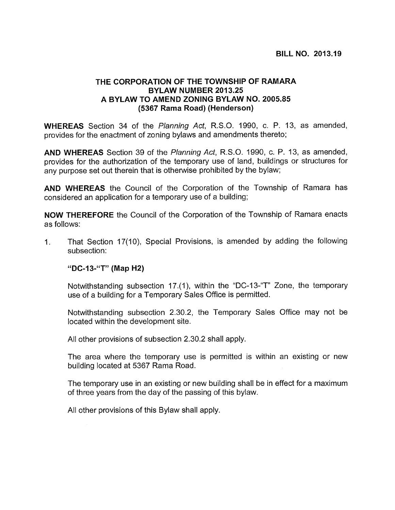## THE CORPORATION OF THE TOWNSHIP OF RAMARA BYLAW NUMBER 2013.25 A BYLAW TO AMEND ZONING BYLAW NO. 2005.85 (5367 Rama Road) (Henderson)

WHEREAS Section 34 of the Planning Act, R.S.O. 1990, c. P. 13, as amended, provides for the enactment of zoning bylaws and amendments thereto;

AND WHEREAS Section 39 of the Planning Act, R.S.O. 1990, c. P. 13, as amended, provides for the authorization of the temporary use of land, buildings or structures for any purpose set out therein that is otherwise prohibited by the bylaw;

AND WHEREAS the Council of the Corporation of the Township of Ramara has considered an application for a temporary use of a building;

NOW THEREFORE the Council of the Corporation of the Township of Ramara enacts as follows:

1. That Section 17(10), Special Provisions, is amended by adding the following subsection:

"DC-13-"T" (Map H2)

Notwithstanding subsection 17.(1), within the "DC-13-"T" Zone, the temporary use of a building for a Temporary Sales Office is permitted.

Notwithstanding subsection 2.30.2, the Temporary Sales Office may not be located within the development site.

All other provisions of subsection 2.30.2 shall apply.

The area where the temporary use is permitted is within an existing or new building located at 5367 Rama Road.

The temporary use in an existing or new building shall be in effect for a maximum of three years from the day of the passing of this bylaw.

All other provisions of this Bylaw shall apply.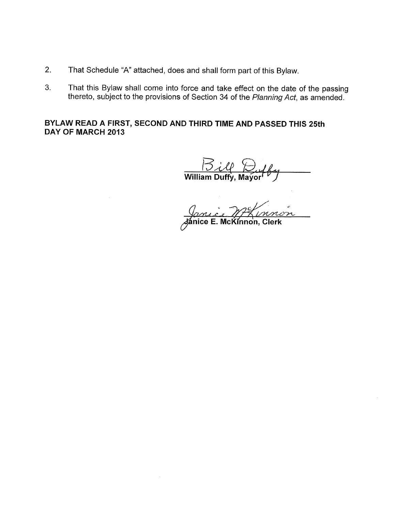- 2. That Schedule "A" attached, does and shall form part of this Bylaw.
- 3. That this Bylaw shall come into force and take effect on the date of the passing thereto, subject to the provisions of Section 34 of the Planning Act, as amended.

BYLAW READ A FIRST, SECOND AND THIRD TIME AND PASSED THIS 25th DAY OF MARCH 2013

 $\frac{1}{2}$ ilf William Duffy, Mayor  $\mathcal{D}$ 

mnon Jánice E. McKinnon, Clerk